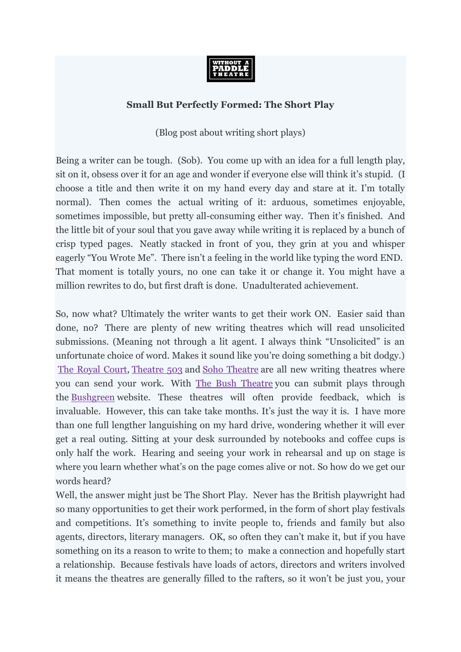

## **Small But Perfectly Formed: The Short Play**

(Blog post about writing short plays)

Being a writer can be tough. (Sob). You come up with an idea for a full length play, sit on it, obsess over it for an age and wonder if everyone else will think it's stupid. (I choose a title and then write it on my hand every day and stare at it. I'm totally normal). Then comes the actual writing of it: arduous, sometimes enjoyable, sometimes impossible, but pretty all-consuming either way. Then it's finished. And the little bit of your soul that you gave away while writing it is replaced by a bunch of crisp typed pages. Neatly stacked in front of you, they grin at you and whisper eagerly "You Wrote Me". There isn't a feeling in the world like typing the word END. That moment is totally yours, no one can take it or change it. You might have a million rewrites to do, but first draft is done. Unadulterated achievement.

So, now what? Ultimately the writer wants to get their work ON. Easier said than done, no? There are plenty of new writing theatres which will read unsolicited submissions. (Meaning not through a lit agent. I always think "Unsolicited" is an unfortunate choice of word. Makes it sound like you're doing something a bit dodgy.) [The Royal Court,](http://royalcourttheatre.com/playwriting/) [Theatre 503](http://www.theatre503.com/) and [Soho Theatre](http://www.sohotheatre.com/writers/) are all new writing theatres where you can send your work. With [The Bush Theatre](http://www.bushtheatre.co.uk/literary/) you can submit plays through the [Bushgreen](http://bushgreen.org/web/guest;jsessionid=EC7A0EA59CB0A56F15F07520771B3192) website. These theatres will often provide feedback, which is invaluable. However, this can take take months. It's just the way it is. I have more than one full lengther languishing on my hard drive, wondering whether it will ever get a real outing. Sitting at your desk surrounded by notebooks and coffee cups is only half the work. Hearing and seeing your work in rehearsal and up on stage is where you learn whether what's on the page comes alive or not. So how do we get our words heard?

Well, the answer might just be The Short Play. Never has the British playwright had so many opportunities to get their work performed, in the form of short play festivals and competitions. It's something to invite people to, friends and family but also agents, directors, literary managers. OK, so often they can't make it, but if you have something on its a reason to write to them; to make a connection and hopefully start a relationship. Because festivals have loads of actors, directors and writers involved it means the theatres are generally filled to the rafters, so it won't be just you, your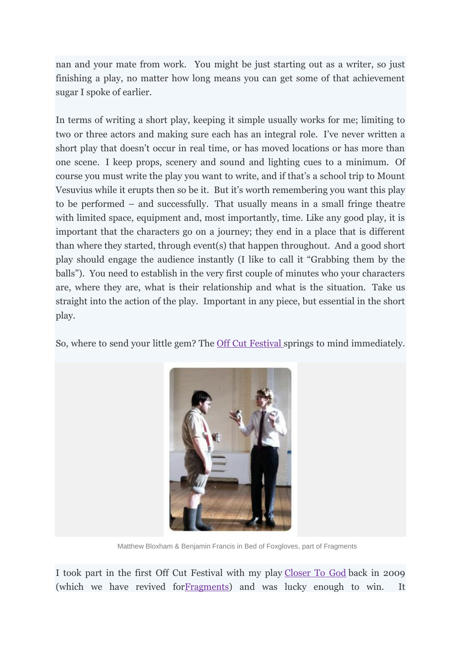nan and your mate from work. You might be just starting out as a writer, so just finishing a play, no matter how long means you can get some of that achievement sugar I spoke of earlier.

In terms of writing a short play, keeping it simple usually works for me; limiting to two or three actors and making sure each has an integral role. I've never written a short play that doesn't occur in real time, or has moved locations or has more than one scene. I keep props, scenery and sound and lighting cues to a minimum. Of course you must write the play you want to write, and if that's a school trip to Mount Vesuvius while it erupts then so be it. But it's worth remembering you want this play to be performed – and successfully. That usually means in a small fringe theatre with limited space, equipment and, most importantly, time. Like any good play, it is important that the characters go on a journey; they end in a place that is different than where they started, through event(s) that happen throughout. And a good short play should engage the audience instantly (I like to call it "Grabbing them by the balls"). You need to establish in the very first couple of minutes who your characters are, where they are, what is their relationship and what is the situation. Take us straight into the action of the play. Important in any piece, but essential in the short play.

So, where to send your little gem? The [Off Cut Festival](http://www.theoffcutfestival.com/) springs to mind immediately.



Matthew Bloxham & Benjamin Francis in Bed of Foxgloves, part of Fragments

I took part in the first Off Cut Festival with my play [Closer To God](http://www.facebook.com/photo.php?fbid=10150503876941035&set=a.10150495802726035.370622.227200361034&type=1&theater) back in 2009 (which we have revived fo[rFragments\)](http://www.facebook.com/events/325933764108041/) and was lucky enough to win. It